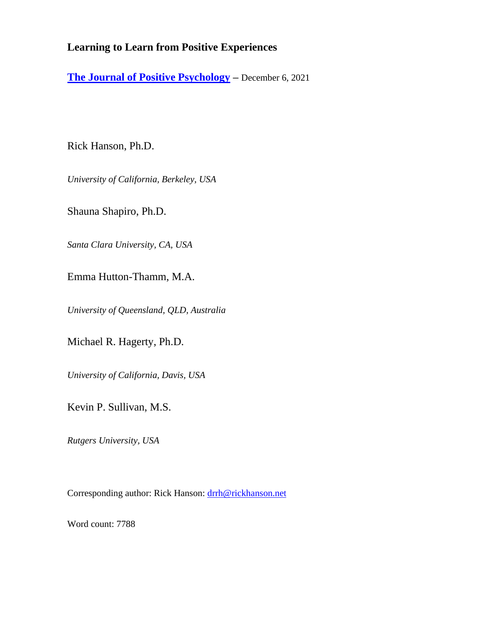# **Learning to Learn from Positive Experiences**

**[The Journal of Positive Psychology](https://www.tandfonline.com/doi/full/10.1080/17439760.2021.2006759) –** December 6, 2021

Rick Hanson, Ph.D.

*University of California, Berkeley, USA*

Shauna Shapiro, Ph.D.

*Santa Clara University, CA, USA*

Emma Hutton-Thamm, M.A.

*University of Queensland, QLD, Australia*

Michael R. Hagerty, Ph.D.

*University of California, Davis, USA*

Kevin P. Sullivan, M.S.

*Rutgers University, USA*

Corresponding author: Rick Hanson: [drrh@rickhanson.net](mailto:drrh@rickhanson.net)

Word count: 7788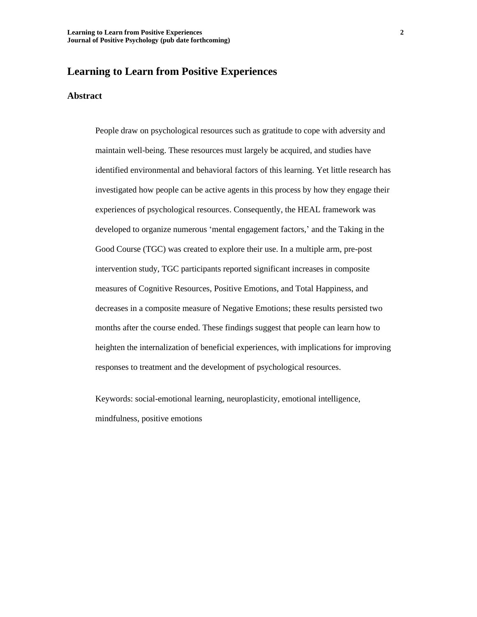# **Learning to Learn from Positive Experiences**

# **Abstract**

People draw on psychological resources such as gratitude to cope with adversity and maintain well-being. These resources must largely be acquired, and studies have identified environmental and behavioral factors of this learning. Yet little research has investigated how people can be active agents in this process by how they engage their experiences of psychological resources. Consequently, the HEAL framework was developed to organize numerous 'mental engagement factors,' and the Taking in the Good Course (TGC) was created to explore their use. In a multiple arm, pre-post intervention study, TGC participants reported significant increases in composite measures of Cognitive Resources, Positive Emotions, and Total Happiness, and decreases in a composite measure of Negative Emotions; these results persisted two months after the course ended. These findings suggest that people can learn how to heighten the internalization of beneficial experiences, with implications for improving responses to treatment and the development of psychological resources.

Keywords: social-emotional learning, neuroplasticity, emotional intelligence, mindfulness, positive emotions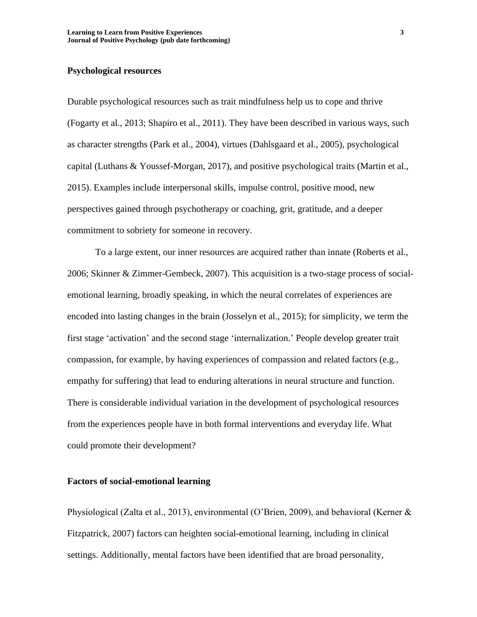# **Psychological resources**

Durable psychological resources such as trait mindfulness help us to cope and thrive (Fogarty et al., 2013; Shapiro et al., 2011). They have been described in various ways, such as character strengths (Park et al., 2004), virtues (Dahlsgaard et al., 2005), psychological capital (Luthans & Youssef-Morgan, 2017), and positive psychological traits (Martin et al., 2015). Examples include interpersonal skills, impulse control, positive mood, new perspectives gained through psychotherapy or coaching, grit, gratitude, and a deeper commitment to sobriety for someone in recovery.

To a large extent, our inner resources are acquired rather than innate (Roberts et al., 2006; Skinner & Zimmer-Gembeck, 2007). This acquisition is a two-stage process of socialemotional learning, broadly speaking, in which the neural correlates of experiences are encoded into lasting changes in the brain (Josselyn et al., 2015); for simplicity, we term the first stage 'activation' and the second stage 'internalization.' People develop greater trait compassion, for example, by having experiences of compassion and related factors (e.g., empathy for suffering) that lead to enduring alterations in neural structure and function. There is considerable individual variation in the development of psychological resources from the experiences people have in both formal interventions and everyday life. What could promote their development?

### **Factors of social-emotional learning**

Physiological (Zalta et al., 2013), environmental (O'Brien, 2009), and behavioral (Kerner & Fitzpatrick, 2007) factors can heighten social-emotional learning, including in clinical settings. Additionally, mental factors have been identified that are broad personality,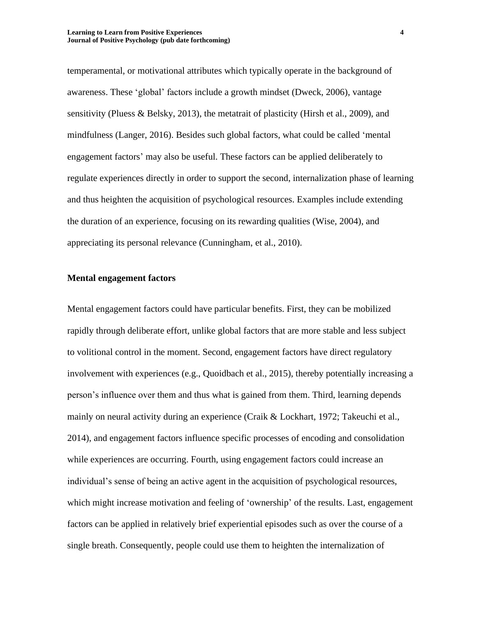temperamental, or motivational attributes which typically operate in the background of awareness. These 'global' factors include a growth mindset (Dweck, 2006), vantage sensitivity (Pluess & Belsky, 2013), the metatrait of plasticity (Hirsh et al., 2009), and mindfulness (Langer, 2016). Besides such global factors, what could be called 'mental engagement factors' may also be useful. These factors can be applied deliberately to regulate experiences directly in order to support the second, internalization phase of learning and thus heighten the acquisition of psychological resources. Examples include extending the duration of an experience, focusing on its rewarding qualities (Wise, 2004), and appreciating its personal relevance (Cunningham, et al., 2010).

# **Mental engagement factors**

Mental engagement factors could have particular benefits. First, they can be mobilized rapidly through deliberate effort, unlike global factors that are more stable and less subject to volitional control in the moment. Second, engagement factors have direct regulatory involvement with experiences (e.g., Quoidbach et al., 2015), thereby potentially increasing a person's influence over them and thus what is gained from them. Third, learning depends mainly on neural activity during an experience (Craik & Lockhart, 1972; Takeuchi et al., 2014), and engagement factors influence specific processes of encoding and consolidation while experiences are occurring. Fourth, using engagement factors could increase an individual's sense of being an active agent in the acquisition of psychological resources, which might increase motivation and feeling of 'ownership' of the results. Last, engagement factors can be applied in relatively brief experiential episodes such as over the course of a single breath. Consequently, people could use them to heighten the internalization of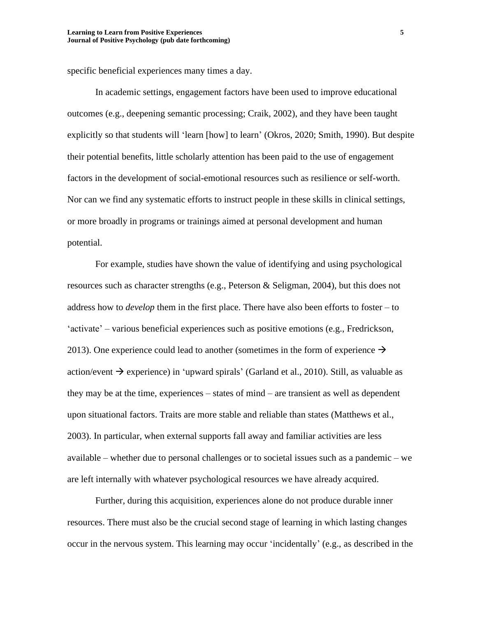specific beneficial experiences many times a day.

In academic settings, engagement factors have been used to improve educational outcomes (e.g., deepening semantic processing; Craik, 2002), and they have been taught explicitly so that students will 'learn [how] to learn' (Okros, 2020; Smith, 1990). But despite their potential benefits, little scholarly attention has been paid to the use of engagement factors in the development of social-emotional resources such as resilience or self-worth. Nor can we find any systematic efforts to instruct people in these skills in clinical settings, or more broadly in programs or trainings aimed at personal development and human potential.

For example, studies have shown the value of identifying and using psychological resources such as character strengths (e.g., Peterson & Seligman, 2004), but this does not address how to *develop* them in the first place. There have also been efforts to foster – to 'activate' – various beneficial experiences such as positive emotions (e.g., Fredrickson, 2013). One experience could lead to another (sometimes in the form of experience  $\rightarrow$ action/event  $\rightarrow$  experience) in 'upward spirals' (Garland et al., 2010). Still, as valuable as they may be at the time, experiences – states of mind – are transient as well as dependent upon situational factors. Traits are more stable and reliable than states (Matthews et al., 2003). In particular, when external supports fall away and familiar activities are less available – whether due to personal challenges or to societal issues such as a pandemic – we are left internally with whatever psychological resources we have already acquired.

Further, during this acquisition, experiences alone do not produce durable inner resources. There must also be the crucial second stage of learning in which lasting changes occur in the nervous system. This learning may occur 'incidentally' (e.g., as described in the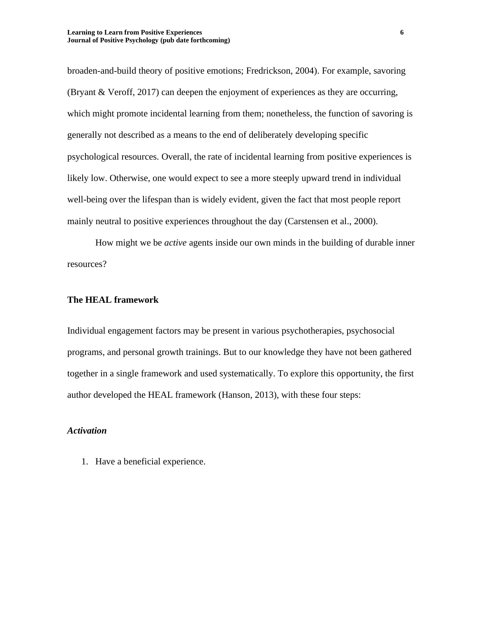broaden-and-build theory of positive emotions; Fredrickson, 2004). For example, savoring (Bryant & Veroff, 2017) can deepen the enjoyment of experiences as they are occurring, which might promote incidental learning from them; nonetheless, the function of savoring is generally not described as a means to the end of deliberately developing specific psychological resources. Overall, the rate of incidental learning from positive experiences is likely low. Otherwise, one would expect to see a more steeply upward trend in individual well-being over the lifespan than is widely evident, given the fact that most people report mainly neutral to positive experiences throughout the day (Carstensen et al., 2000).

How might we be *active* agents inside our own minds in the building of durable inner resources?

# **The HEAL framework**

Individual engagement factors may be present in various psychotherapies, psychosocial programs, and personal growth trainings. But to our knowledge they have not been gathered together in a single framework and used systematically. To explore this opportunity, the first author developed the HEAL framework (Hanson, 2013), with these four steps:

#### *Activation*

1. Have a beneficial experience.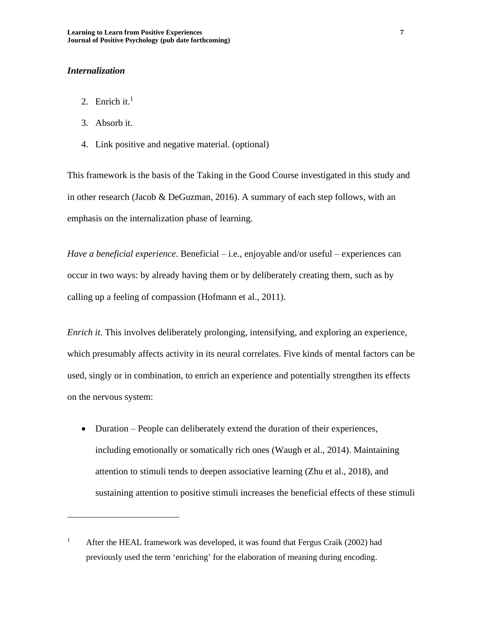#### *Internalization*

- 2. Enrich it. $<sup>1</sup>$ </sup>
- 3. Absorb it.
- 4. Link positive and negative material. (optional)

This framework is the basis of the Taking in the Good Course investigated in this study and in other research (Jacob & DeGuzman, 2016). A summary of each step follows, with an emphasis on the internalization phase of learning.

*Have a beneficial experience*. Beneficial – i.e., enjoyable and/or useful – experiences can occur in two ways: by already having them or by deliberately creating them, such as by calling up a feeling of compassion (Hofmann et al., 2011).

*Enrich it*. This involves deliberately prolonging, intensifying, and exploring an experience, which presumably affects activity in its neural correlates. Five kinds of mental factors can be used, singly or in combination, to enrich an experience and potentially strengthen its effects on the nervous system:

• Duration – People can deliberately extend the duration of their experiences, including emotionally or somatically rich ones (Waugh et al., 2014). Maintaining attention to stimuli tends to deepen associative learning (Zhu et al., 2018), and sustaining attention to positive stimuli increases the beneficial effects of these stimuli

<sup>&</sup>lt;sup>1</sup> After the HEAL framework was developed, it was found that Fergus Craik (2002) had previously used the term 'enriching' for the elaboration of meaning during encoding.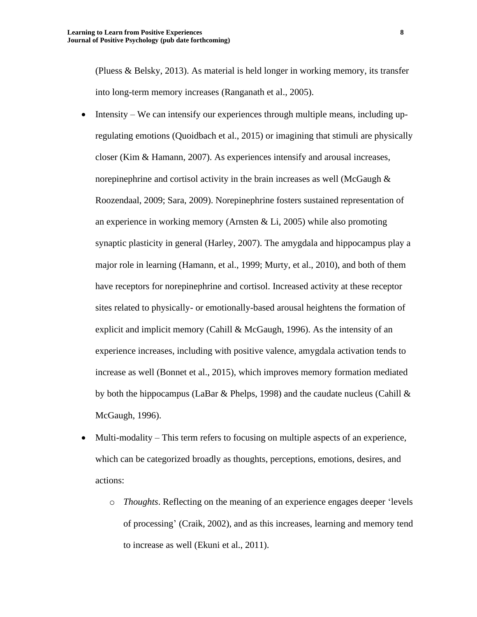(Pluess & Belsky, 2013). As material is held longer in working memory, its transfer into long-term memory increases (Ranganath et al., 2005).

- Intensity We can intensify our experiences through multiple means, including upregulating emotions (Quoidbach et al., 2015) or imagining that stimuli are physically closer (Kim & Hamann, 2007). As experiences intensify and arousal increases, norepinephrine and cortisol activity in the brain increases as well (McGaugh  $\&$ Roozendaal, 2009; Sara, 2009). Norepinephrine fosters sustained representation of an experience in working memory (Arnsten & Li, 2005) while also promoting synaptic plasticity in general (Harley, 2007). The amygdala and hippocampus play a major role in learning (Hamann, et al., 1999; Murty, et al., 2010), and both of them have receptors for norepinephrine and cortisol. Increased activity at these receptor sites related to physically- or emotionally-based arousal heightens the formation of explicit and implicit memory (Cahill & McGaugh, 1996). As the intensity of an experience increases, including with positive valence, amygdala activation tends to increase as well (Bonnet et al., 2015), which improves memory formation mediated by both the hippocampus (LaBar & Phelps, 1998) and the caudate nucleus (Cahill  $\&$ McGaugh, 1996).
- Multi-modality This term refers to focusing on multiple aspects of an experience, which can be categorized broadly as thoughts, perceptions, emotions, desires, and actions:
	- o *Thoughts*. Reflecting on the meaning of an experience engages deeper 'levels of processing' (Craik, 2002), and as this increases, learning and memory tend to increase as well (Ekuni et al., 2011).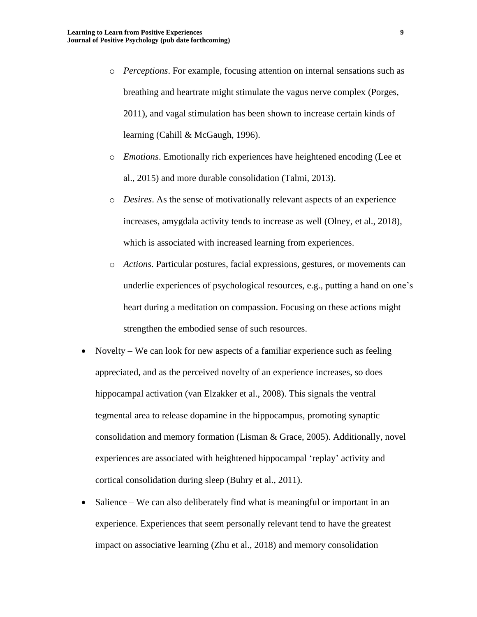- o *Perceptions*. For example, focusing attention on internal sensations such as breathing and heartrate might stimulate the vagus nerve complex (Porges, 2011), and vagal stimulation has been shown to increase certain kinds of learning (Cahill & McGaugh, 1996).
- o *Emotions*. Emotionally rich experiences have heightened encoding (Lee et al., 2015) and more durable consolidation (Talmi, 2013).
- o *Desires*. As the sense of motivationally relevant aspects of an experience increases, amygdala activity tends to increase as well (Olney, et al., 2018), which is associated with increased learning from experiences.
- o *Actions*. Particular postures, facial expressions, gestures, or movements can underlie experiences of psychological resources, e.g., putting a hand on one's heart during a meditation on compassion. Focusing on these actions might strengthen the embodied sense of such resources.
- Novelty We can look for new aspects of a familiar experience such as feeling appreciated, and as the perceived novelty of an experience increases, so does hippocampal activation (van Elzakker et al., 2008). This signals the ventral tegmental area to release dopamine in the hippocampus, promoting synaptic consolidation and memory formation (Lisman & Grace, 2005). Additionally, novel experiences are associated with heightened hippocampal 'replay' activity and cortical consolidation during sleep (Buhry et al., 2011).
- Salience We can also deliberately find what is meaningful or important in an experience. Experiences that seem personally relevant tend to have the greatest impact on associative learning (Zhu et al., 2018) and memory consolidation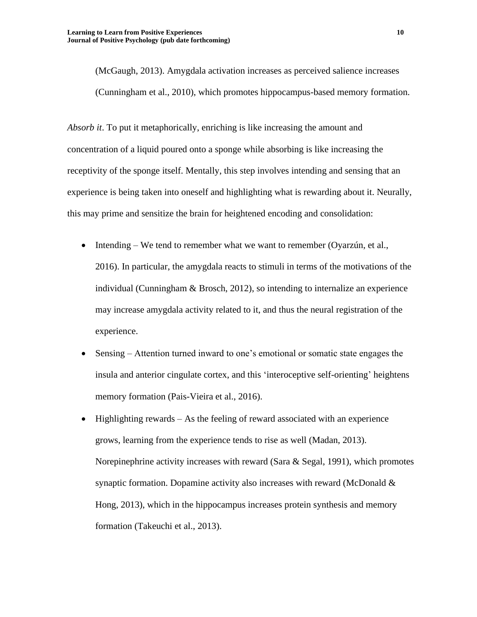(McGaugh, 2013). Amygdala activation increases as perceived salience increases (Cunningham et al., 2010), which promotes hippocampus-based memory formation.

*Absorb it*. To put it metaphorically, enriching is like increasing the amount and concentration of a liquid poured onto a sponge while absorbing is like increasing the receptivity of the sponge itself. Mentally, this step involves intending and sensing that an experience is being taken into oneself and highlighting what is rewarding about it. Neurally, this may prime and sensitize the brain for heightened encoding and consolidation:

- Intending We tend to remember what we want to remember (Oyarzún, et al., 2016). In particular, the amygdala reacts to stimuli in terms of the motivations of the individual (Cunningham & Brosch, 2012), so intending to internalize an experience may increase amygdala activity related to it, and thus the neural registration of the experience.
- Sensing Attention turned inward to one's emotional or somatic state engages the insula and anterior cingulate cortex, and this 'interoceptive self-orienting' heightens memory formation (Pais-Vieira et al., 2016).
- Highlighting rewards As the feeling of reward associated with an experience grows, learning from the experience tends to rise as well (Madan, 2013). Norepinephrine activity increases with reward (Sara & Segal, 1991), which promotes synaptic formation. Dopamine activity also increases with reward (McDonald  $\&$ Hong, 2013), which in the hippocampus increases protein synthesis and memory formation (Takeuchi et al., 2013).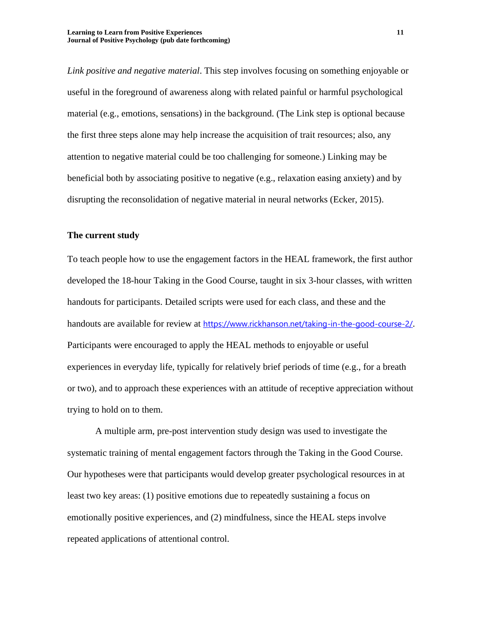*Link positive and negative material*. This step involves focusing on something enjoyable or useful in the foreground of awareness along with related painful or harmful psychological material (e.g., emotions, sensations) in the background. (The Link step is optional because the first three steps alone may help increase the acquisition of trait resources; also, any attention to negative material could be too challenging for someone.) Linking may be beneficial both by associating positive to negative (e.g., relaxation easing anxiety) and by disrupting the reconsolidation of negative material in neural networks (Ecker, 2015).

### **The current study**

To teach people how to use the engagement factors in the HEAL framework, the first author developed the 18-hour Taking in the Good Course, taught in six 3-hour classes, with written handouts for participants. Detailed scripts were used for each class, and these and the handouts are available for review at <https://www.rickhanson.net/taking-in-the-good-course-2/>. Participants were encouraged to apply the HEAL methods to enjoyable or useful experiences in everyday life, typically for relatively brief periods of time (e.g., for a breath or two), and to approach these experiences with an attitude of receptive appreciation without trying to hold on to them.

A multiple arm, pre-post intervention study design was used to investigate the systematic training of mental engagement factors through the Taking in the Good Course. Our hypotheses were that participants would develop greater psychological resources in at least two key areas: (1) positive emotions due to repeatedly sustaining a focus on emotionally positive experiences, and (2) mindfulness, since the HEAL steps involve repeated applications of attentional control.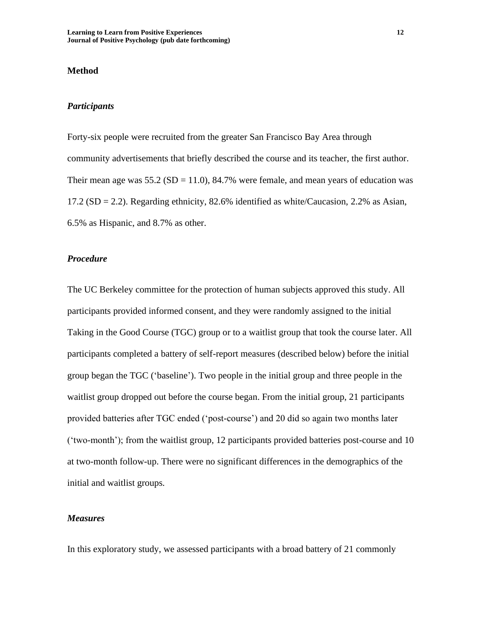# **Method**

#### *Participants*

Forty-six people were recruited from the greater San Francisco Bay Area through community advertisements that briefly described the course and its teacher, the first author. Their mean age was  $55.2$  (SD = 11.0), 84.7% were female, and mean years of education was 17.2 (SD = 2.2). Regarding ethnicity, 82.6% identified as white/Caucasion, 2.2% as Asian, 6.5% as Hispanic, and 8.7% as other.

# *Procedure*

The UC Berkeley committee for the protection of human subjects approved this study. All participants provided informed consent, and they were randomly assigned to the initial Taking in the Good Course (TGC) group or to a waitlist group that took the course later. All participants completed a battery of self-report measures (described below) before the initial group began the TGC ('baseline'). Two people in the initial group and three people in the waitlist group dropped out before the course began. From the initial group, 21 participants provided batteries after TGC ended ('post-course') and 20 did so again two months later ('two-month'); from the waitlist group, 12 participants provided batteries post-course and 10 at two-month follow-up. There were no significant differences in the demographics of the initial and waitlist groups.

# *Measures*

In this exploratory study, we assessed participants with a broad battery of 21 commonly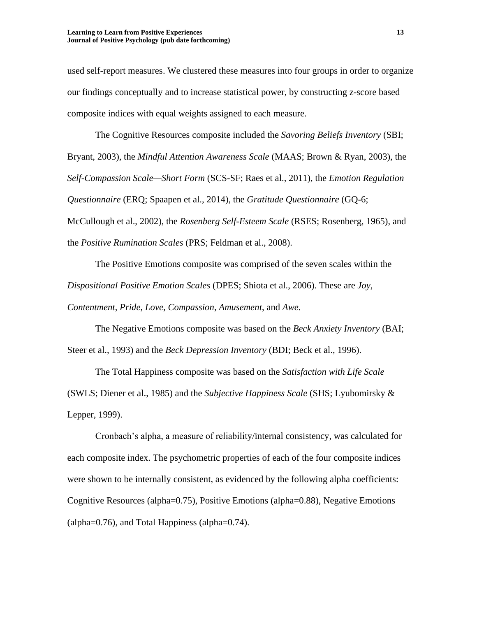used self-report measures. We clustered these measures into four groups in order to organize our findings conceptually and to increase statistical power, by constructing z-score based composite indices with equal weights assigned to each measure.

The Cognitive Resources composite included the *Savoring Beliefs Inventory* (SBI; Bryant, 2003), the *Mindful Attention Awareness Scale* (MAAS; Brown & Ryan, 2003), the *Self-Compassion Scale—Short Form* (SCS-SF; Raes et al., 2011), the *Emotion Regulation Questionnaire* (ERQ; Spaapen et al., 2014), the *Gratitude Questionnaire* (GQ-6; McCullough et al., 2002), the *Rosenberg Self-Esteem Scale* (RSES; Rosenberg, 1965), and the *Positive Rumination Scales* (PRS; Feldman et al., 2008).

The Positive Emotions composite was comprised of the seven scales within the *Dispositional Positive Emotion Scales* (DPES; Shiota et al., 2006). These are *Joy*, *Contentment*, *Pride*, *Love*, *Compassion*, *Amusement*, and *Awe.*

The Negative Emotions composite was based on the *Beck Anxiety Inventory* (BAI; Steer et al., 1993) and the *Beck Depression Inventory* (BDI; Beck et al., 1996).

The Total Happiness composite was based on the *Satisfaction with Life Scale* (SWLS; Diener et al., 1985) and the *Subjective Happiness Scale* (SHS; Lyubomirsky & Lepper, 1999).

Cronbach's alpha, a measure of reliability/internal consistency, was calculated for each composite index. The psychometric properties of each of the four composite indices were shown to be internally consistent, as evidenced by the following alpha coefficients: Cognitive Resources (alpha=0.75), Positive Emotions (alpha=0.88), Negative Emotions (alpha=0.76), and Total Happiness (alpha=0.74).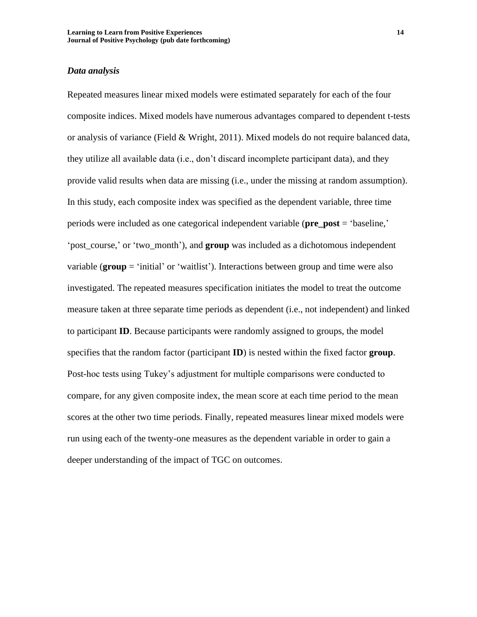# *Data analysis*

Repeated measures linear mixed models were estimated separately for each of the four composite indices. Mixed models have numerous advantages compared to dependent t-tests or analysis of variance (Field & Wright, 2011). Mixed models do not require balanced data, they utilize all available data (i.e., don't discard incomplete participant data), and they provide valid results when data are missing (i.e., under the missing at random assumption). In this study, each composite index was specified as the dependent variable, three time periods were included as one categorical independent variable (**pre\_post** = 'baseline,' 'post\_course,' or 'two\_month'), and **group** was included as a dichotomous independent variable (**group** = 'initial' or 'waitlist'). Interactions between group and time were also investigated. The repeated measures specification initiates the model to treat the outcome measure taken at three separate time periods as dependent (i.e., not independent) and linked to participant **ID**. Because participants were randomly assigned to groups, the model specifies that the random factor (participant **ID**) is nested within the fixed factor **group**. Post-hoc tests using Tukey's adjustment for multiple comparisons were conducted to compare, for any given composite index, the mean score at each time period to the mean scores at the other two time periods. Finally, repeated measures linear mixed models were run using each of the twenty-one measures as the dependent variable in order to gain a deeper understanding of the impact of TGC on outcomes.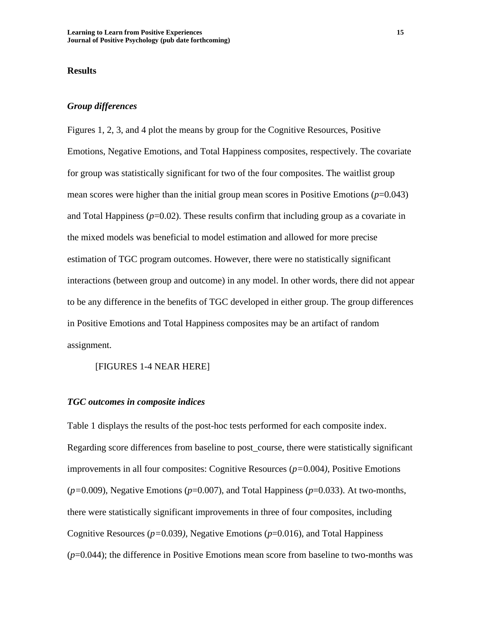# **Results**

#### *Group differences*

Figures 1, 2, 3, and 4 plot the means by group for the Cognitive Resources, Positive Emotions, Negative Emotions, and Total Happiness composites, respectively. The covariate for group was statistically significant for two of the four composites. The waitlist group mean scores were higher than the initial group mean scores in Positive Emotions  $(p=0.043)$ and Total Happiness  $(p=0.02)$ . These results confirm that including group as a covariate in the mixed models was beneficial to model estimation and allowed for more precise estimation of TGC program outcomes. However, there were no statistically significant interactions (between group and outcome) in any model. In other words, there did not appear to be any difference in the benefits of TGC developed in either group. The group differences in Positive Emotions and Total Happiness composites may be an artifact of random assignment.

## [FIGURES 1-4 NEAR HERE]

#### *TGC outcomes in composite indices*

Table 1 displays the results of the post-hoc tests performed for each composite index. Regarding score differences from baseline to post course, there were statistically significant improvements in all four composites: Cognitive Resources (*p=*0.004*)*, Positive Emotions (*p=*0.009), Negative Emotions (*p*=0.007), and Total Happiness (*p*=0.033). At two-months, there were statistically significant improvements in three of four composites, including Cognitive Resources (*p=*0.039*)*, Negative Emotions (*p*=0.016), and Total Happiness (*p*=0.044); the difference in Positive Emotions mean score from baseline to two-months was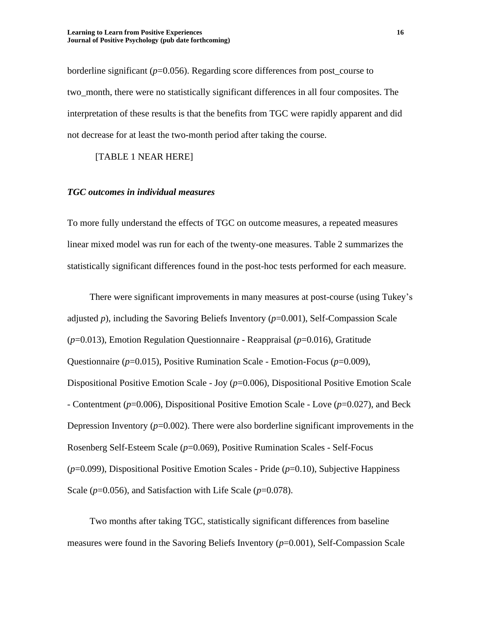borderline significant (*p*=0.056). Regarding score differences from post\_course to two\_month, there were no statistically significant differences in all four composites. The interpretation of these results is that the benefits from TGC were rapidly apparent and did not decrease for at least the two-month period after taking the course.

[TABLE 1 NEAR HERE]

#### *TGC outcomes in individual measures*

To more fully understand the effects of TGC on outcome measures, a repeated measures linear mixed model was run for each of the twenty-one measures. Table 2 summarizes the statistically significant differences found in the post-hoc tests performed for each measure.

There were significant improvements in many measures at post-course (using Tukey's adjusted *p*), including the Savoring Beliefs Inventory (*p*=0.001), Self-Compassion Scale (*p*=0.013), Emotion Regulation Questionnaire - Reappraisal (*p*=0.016), Gratitude Questionnaire (*p*=0.015), Positive Rumination Scale - Emotion-Focus (*p*=0.009), Dispositional Positive Emotion Scale - Joy ( $p=0.006$ ), Dispositional Positive Emotion Scale - Contentment (*p*=0.006), Dispositional Positive Emotion Scale - Love (*p*=0.027), and Beck Depression Inventory (*p*=0.002). There were also borderline significant improvements in the Rosenberg Self-Esteem Scale (*p*=0.069), Positive Rumination Scales - Self-Focus (*p*=0.099), Dispositional Positive Emotion Scales - Pride (*p*=0.10), Subjective Happiness Scale (*p*=0.056), and Satisfaction with Life Scale (*p*=0.078).

Two months after taking TGC, statistically significant differences from baseline measures were found in the Savoring Beliefs Inventory (*p*=0.001), Self-Compassion Scale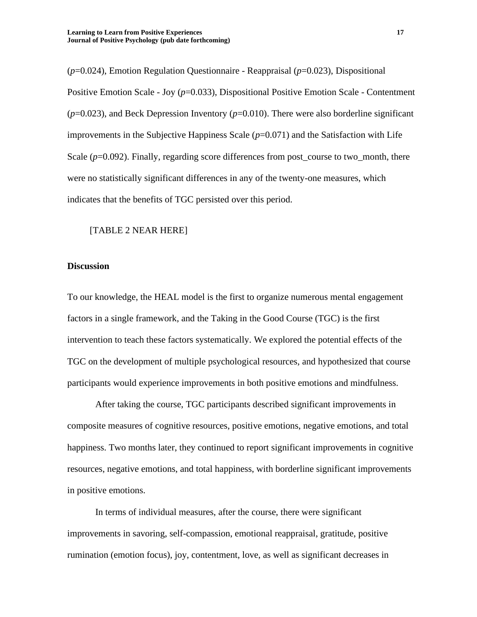(*p*=0.024), Emotion Regulation Questionnaire - Reappraisal (*p*=0.023), Dispositional Positive Emotion Scale - Joy (*p*=0.033), Dispositional Positive Emotion Scale - Contentment  $(p=0.023)$ , and Beck Depression Inventory  $(p=0.010)$ . There were also borderline significant improvements in the Subjective Happiness Scale  $(p=0.071)$  and the Satisfaction with Life Scale ( $p=0.092$ ). Finally, regarding score differences from post\_course to two\_month, there were no statistically significant differences in any of the twenty-one measures, which indicates that the benefits of TGC persisted over this period.

# [TABLE 2 NEAR HERE]

# **Discussion**

To our knowledge, the HEAL model is the first to organize numerous mental engagement factors in a single framework, and the Taking in the Good Course (TGC) is the first intervention to teach these factors systematically. We explored the potential effects of the TGC on the development of multiple psychological resources, and hypothesized that course participants would experience improvements in both positive emotions and mindfulness.

After taking the course, TGC participants described significant improvements in composite measures of cognitive resources, positive emotions, negative emotions, and total happiness. Two months later, they continued to report significant improvements in cognitive resources, negative emotions, and total happiness, with borderline significant improvements in positive emotions.

In terms of individual measures, after the course, there were significant improvements in savoring, self-compassion, emotional reappraisal, gratitude, positive rumination (emotion focus), joy, contentment, love, as well as significant decreases in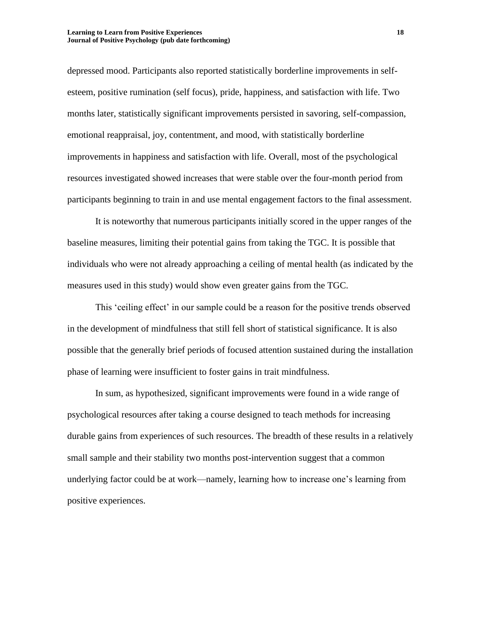depressed mood. Participants also reported statistically borderline improvements in selfesteem, positive rumination (self focus), pride, happiness, and satisfaction with life. Two months later, statistically significant improvements persisted in savoring, self-compassion, emotional reappraisal, joy, contentment, and mood, with statistically borderline improvements in happiness and satisfaction with life. Overall, most of the psychological resources investigated showed increases that were stable over the four-month period from participants beginning to train in and use mental engagement factors to the final assessment.

It is noteworthy that numerous participants initially scored in the upper ranges of the baseline measures, limiting their potential gains from taking the TGC. It is possible that individuals who were not already approaching a ceiling of mental health (as indicated by the measures used in this study) would show even greater gains from the TGC.

This 'ceiling effect' in our sample could be a reason for the positive trends observed in the development of mindfulness that still fell short of statistical significance. It is also possible that the generally brief periods of focused attention sustained during the installation phase of learning were insufficient to foster gains in trait mindfulness.

In sum, as hypothesized, significant improvements were found in a wide range of psychological resources after taking a course designed to teach methods for increasing durable gains from experiences of such resources. The breadth of these results in a relatively small sample and their stability two months post-intervention suggest that a common underlying factor could be at work—namely, learning how to increase one's learning from positive experiences.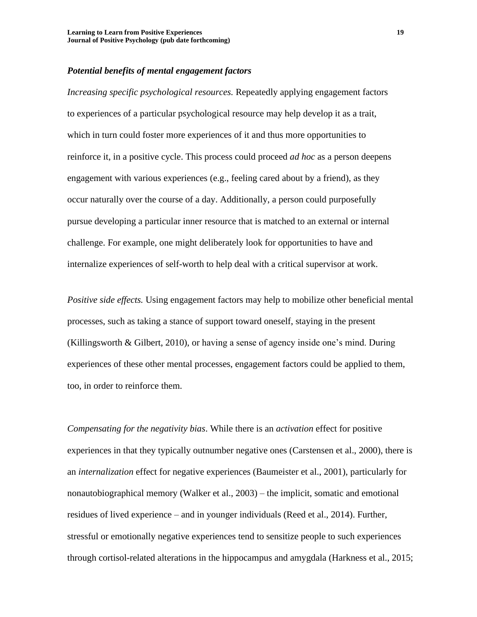### *Potential benefits of mental engagement factors*

*Increasing specific psychological resources.* Repeatedly applying engagement factors to experiences of a particular psychological resource may help develop it as a trait, which in turn could foster more experiences of it and thus more opportunities to reinforce it, in a positive cycle. This process could proceed *ad hoc* as a person deepens engagement with various experiences (e.g., feeling cared about by a friend), as they occur naturally over the course of a day. Additionally, a person could purposefully pursue developing a particular inner resource that is matched to an external or internal challenge. For example, one might deliberately look for opportunities to have and internalize experiences of self-worth to help deal with a critical supervisor at work.

*Positive side effects.* Using engagement factors may help to mobilize other beneficial mental processes, such as taking a stance of support toward oneself, staying in the present (Killingsworth & Gilbert, 2010), or having a sense of agency inside one's mind. During experiences of these other mental processes, engagement factors could be applied to them, too, in order to reinforce them.

*Compensating for the negativity bias*. While there is an *activation* effect for positive experiences in that they typically outnumber negative ones (Carstensen et al., 2000), there is an *internalization* effect for negative experiences (Baumeister et al., 2001), particularly for nonautobiographical memory (Walker et al., 2003) – the implicit, somatic and emotional residues of lived experience – and in younger individuals (Reed et al., 2014). Further, stressful or emotionally negative experiences tend to sensitize people to such experiences through cortisol-related alterations in the hippocampus and amygdala (Harkness et al., 2015;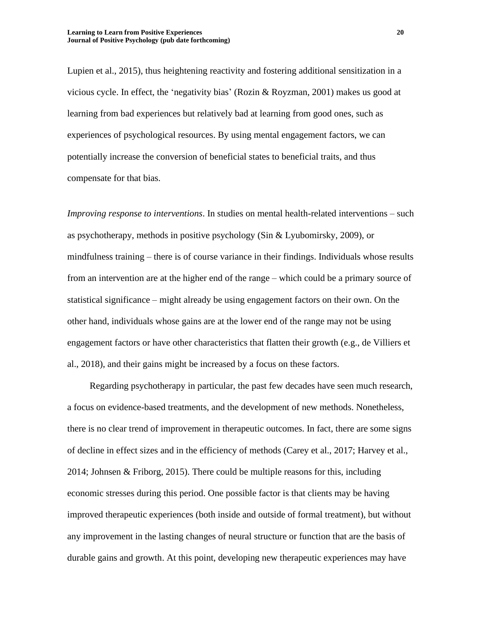Lupien et al., 2015), thus heightening reactivity and fostering additional sensitization in a vicious cycle. In effect, the 'negativity bias' (Rozin & Royzman, 2001) makes us good at learning from bad experiences but relatively bad at learning from good ones, such as experiences of psychological resources. By using mental engagement factors, we can potentially increase the conversion of beneficial states to beneficial traits, and thus compensate for that bias.

*Improving response to interventions*. In studies on mental health-related interventions – such as psychotherapy, methods in positive psychology (Sin & Lyubomirsky, 2009), or mindfulness training – there is of course variance in their findings. Individuals whose results from an intervention are at the higher end of the range – which could be a primary source of statistical significance – might already be using engagement factors on their own. On the other hand, individuals whose gains are at the lower end of the range may not be using engagement factors or have other characteristics that flatten their growth (e.g., de Villiers et al., 2018), and their gains might be increased by a focus on these factors.

Regarding psychotherapy in particular, the past few decades have seen much research, a focus on evidence-based treatments, and the development of new methods. Nonetheless, there is no clear trend of improvement in therapeutic outcomes. In fact, there are some signs of decline in effect sizes and in the efficiency of methods (Carey et al., 2017; Harvey et al., 2014; Johnsen & Friborg, 2015). There could be multiple reasons for this, including economic stresses during this period. One possible factor is that clients may be having improved therapeutic experiences (both inside and outside of formal treatment), but without any improvement in the lasting changes of neural structure or function that are the basis of durable gains and growth. At this point, developing new therapeutic experiences may have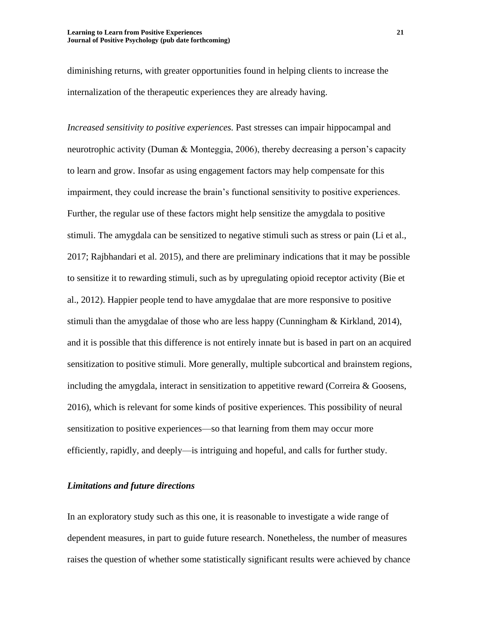diminishing returns, with greater opportunities found in helping clients to increase the internalization of the therapeutic experiences they are already having.

*Increased sensitivity to positive experiences.* Past stresses can impair hippocampal and neurotrophic activity (Duman & Monteggia, 2006), thereby decreasing a person's capacity to learn and grow. Insofar as using engagement factors may help compensate for this impairment, they could increase the brain's functional sensitivity to positive experiences. Further, the regular use of these factors might help sensitize the amygdala to positive stimuli. The amygdala can be sensitized to negative stimuli such as stress or pain (Li et al., 2017; Rajbhandari et al. 2015), and there are preliminary indications that it may be possible to sensitize it to rewarding stimuli, such as by upregulating opioid receptor activity (Bie et al., 2012). Happier people tend to have amygdalae that are more responsive to positive stimuli than the amygdalae of those who are less happy (Cunningham & Kirkland, 2014), and it is possible that this difference is not entirely innate but is based in part on an acquired sensitization to positive stimuli. More generally, multiple subcortical and brainstem regions, including the amygdala, interact in sensitization to appetitive reward (Correira & Goosens, 2016), which is relevant for some kinds of positive experiences. This possibility of neural sensitization to positive experiences—so that learning from them may occur more efficiently, rapidly, and deeply—is intriguing and hopeful, and calls for further study.

# *Limitations and future directions*

In an exploratory study such as this one, it is reasonable to investigate a wide range of dependent measures, in part to guide future research. Nonetheless, the number of measures raises the question of whether some statistically significant results were achieved by chance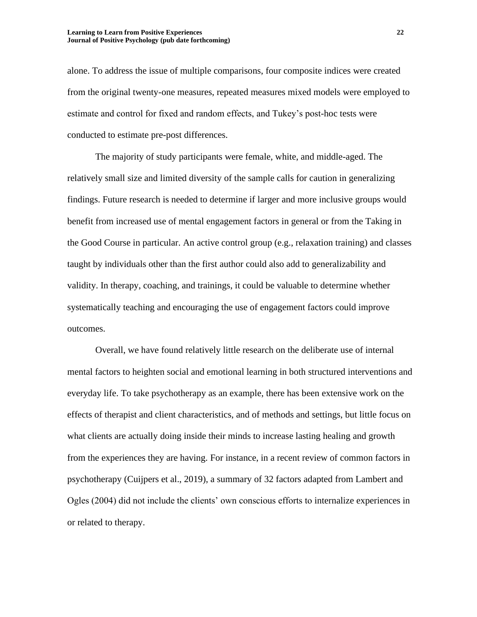alone. To address the issue of multiple comparisons, four composite indices were created from the original twenty-one measures, repeated measures mixed models were employed to estimate and control for fixed and random effects, and Tukey's post-hoc tests were conducted to estimate pre-post differences.

The majority of study participants were female, white, and middle-aged. The relatively small size and limited diversity of the sample calls for caution in generalizing findings. Future research is needed to determine if larger and more inclusive groups would benefit from increased use of mental engagement factors in general or from the Taking in the Good Course in particular. An active control group (e.g., relaxation training) and classes taught by individuals other than the first author could also add to generalizability and validity. In therapy, coaching, and trainings, it could be valuable to determine whether systematically teaching and encouraging the use of engagement factors could improve outcomes.

Overall, we have found relatively little research on the deliberate use of internal mental factors to heighten social and emotional learning in both structured interventions and everyday life. To take psychotherapy as an example, there has been extensive work on the effects of therapist and client characteristics, and of methods and settings, but little focus on what clients are actually doing inside their minds to increase lasting healing and growth from the experiences they are having. For instance, in a recent review of common factors in psychotherapy (Cuijpers et al., 2019), a summary of 32 factors adapted from Lambert and Ogles (2004) did not include the clients' own conscious efforts to internalize experiences in or related to therapy.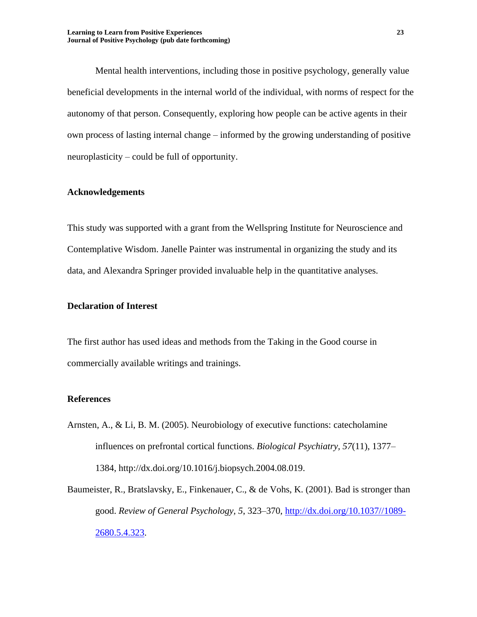Mental health interventions, including those in positive psychology, generally value beneficial developments in the internal world of the individual, with norms of respect for the autonomy of that person. Consequently, exploring how people can be active agents in their own process of lasting internal change – informed by the growing understanding of positive neuroplasticity – could be full of opportunity.

### **Acknowledgements**

This study was supported with a grant from the Wellspring Institute for Neuroscience and Contemplative Wisdom. Janelle Painter was instrumental in organizing the study and its data, and Alexandra Springer provided invaluable help in the quantitative analyses.

# **Declaration of Interest**

The first author has used ideas and methods from the Taking in the Good course in commercially available writings and trainings.

#### **References**

- Arnsten, A., & Li, B. M. (2005). Neurobiology of executive functions: catecholamine influences on prefrontal cortical functions. *Biological Psychiatry, 57*(11), 1377– 1384, http://dx.doi.org/10.1016/j.biopsych.2004.08.019.
- Baumeister, R., Bratslavsky, E., Finkenauer, C., & de Vohs, K. (2001). Bad is stronger than good. *Review of General Psychology, 5*, 323–370, [http://dx.doi.org/10.1037//1089-](http://dx.doi.org/10.1037/1089-2680.5.4.323) [2680.5.4.323.](http://dx.doi.org/10.1037/1089-2680.5.4.323)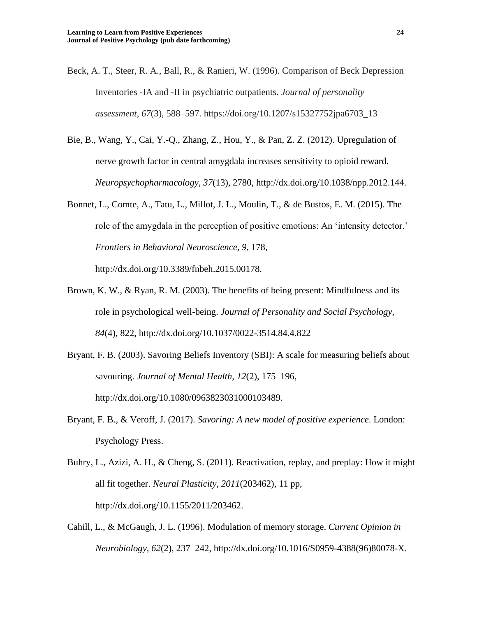Beck, A. T., Steer, R. A., Ball, R., & Ranieri, W. (1996). Comparison of Beck Depression Inventories -IA and -II in psychiatric outpatients. *Journal of personality assessment*, *67*(3), 588–597. https://doi.org/10.1207/s15327752jpa6703\_13

- Bie, B., Wang, Y., Cai, Y.-Q., Zhang, Z., Hou, Y., & Pan, Z. Z. (2012). Upregulation of nerve growth factor in central amygdala increases sensitivity to opioid reward. *Neuropsychopharmacology, 37*(13), 2780, http://dx.doi.org/10.1038/npp.2012.144.
- Bonnet, L., Comte, A., Tatu, L., Millot, J. L., Moulin, T., & de Bustos, E. M. (2015). The role of the amygdala in the perception of positive emotions: An 'intensity detector.' *Frontiers in Behavioral Neuroscience, 9*, 178,

http://dx.doi.org/10.3389/fnbeh.2015.00178.

- Brown, K. W., & Ryan, R. M. (2003). The benefits of being present: Mindfulness and its role in psychological well-being. *Journal of Personality and Social Psychology, 84*(4), 822, http://dx.doi.org/10.1037/0022-3514.84.4.822
- Bryant, F. B. (2003). Savoring Beliefs Inventory (SBI): A scale for measuring beliefs about savouring. *Journal of Mental Health, 12*(2), 175–196, http://dx.doi.org/10.1080/0963823031000103489.
- Bryant, F. B., & Veroff, J. (2017). *Savoring: A new model of positive experience*. London: Psychology Press.
- Buhry, L., Azizi, A. H., & Cheng, S. (2011). Reactivation, replay, and preplay: How it might all fit together. *Neural Plasticity, 2011*(203462), 11 pp, http://dx.doi.org/10.1155/2011/203462.
- Cahill, L., & McGaugh, J. L. (1996). Modulation of memory storage. *Current Opinion in Neurobiology, 62*(2), 237–242, http://dx.doi.org/10.1016/S0959-4388(96)80078-X.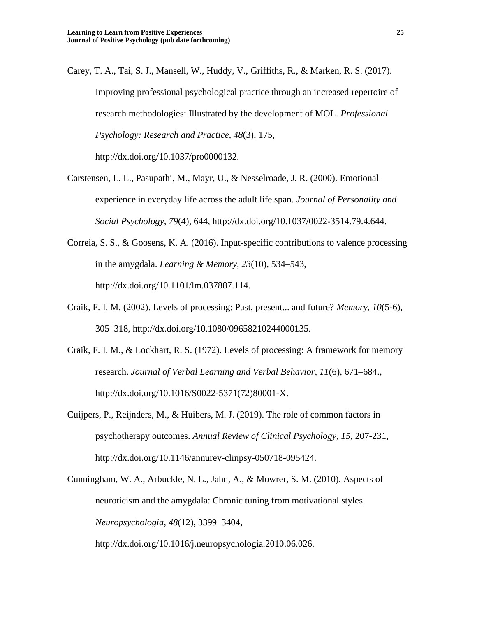Carey, T. A., Tai, S. J., Mansell, W., Huddy, V., Griffiths, R., & Marken, R. S. (2017). Improving professional psychological practice through an increased repertoire of research methodologies: Illustrated by the development of MOL. *Professional Psychology: Research and Practice, 48*(3), 175, http://dx.doi.org/10.1037/pro0000132.

- Carstensen, L. L., Pasupathi, M., Mayr, U., & Nesselroade, J. R. (2000). Emotional experience in everyday life across the adult life span. *Journal of Personality and Social Psychology, 79*(4), 644, http://dx.doi.org/10.1037/0022-3514.79.4.644.
- Correia, S. S., & Goosens, K. A. (2016). Input-specific contributions to valence processing in the amygdala. *Learning & Memory, 23*(10), 534–543, http://dx.doi.org/10.1101/lm.037887.114.
- Craik, F. I. M. (2002). Levels of processing: Past, present... and future? *Memory, 10*(5-6), 305–318, http://dx.doi.org/10.1080/09658210244000135.
- Craik, F. I. M., & Lockhart, R. S. (1972). Levels of processing: A framework for memory research. *Journal of Verbal Learning and Verbal Behavior, 11*(6), 671–684., http://dx.doi.org/10.1016/S0022-5371(72)80001-X.
- Cuijpers, P., Reijnders, M., & Huibers, M. J. (2019). The role of common factors in psychotherapy outcomes. *Annual Review of Clinical Psychology, 15*, 207-231, http://dx.doi.org/10.1146/annurev-clinpsy-050718-095424.
- Cunningham, W. A., Arbuckle, N. L., Jahn, A., & Mowrer, S. M. (2010). Aspects of neuroticism and the amygdala: Chronic tuning from motivational styles. *Neuropsychologia, 48*(12), 3399–3404,

http://dx.doi.org/10.1016/j.neuropsychologia.2010.06.026.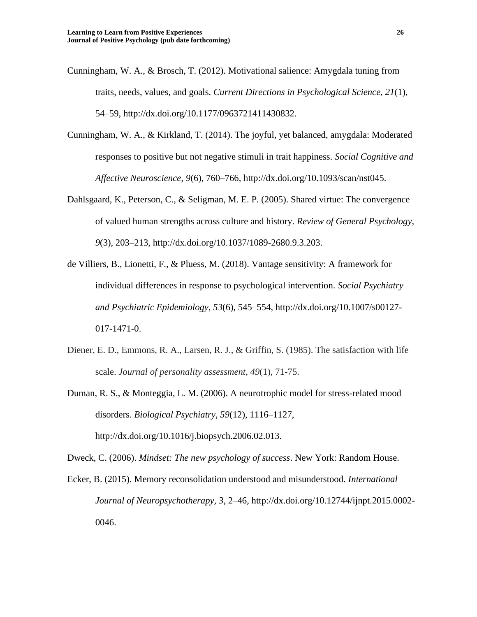- Cunningham, W. A., & Brosch, T. (2012). Motivational salience: Amygdala tuning from traits, needs, values, and goals. *Current Directions in Psychological Science, 21*(1), 54–59, http://dx.doi.org/10.1177/0963721411430832.
- Cunningham, W. A., & Kirkland, T. (2014). The joyful, yet balanced, amygdala: Moderated responses to positive but not negative stimuli in trait happiness. *Social Cognitive and Affective Neuroscience, 9*(6), 760–766, http://dx.doi.org/10.1093/scan/nst045.
- Dahlsgaard, K., Peterson, C., & Seligman, M. E. P. (2005). Shared virtue: The convergence of valued human strengths across culture and history. *Review of General Psychology, 9*(3), 203–213, http://dx.doi.org/10.1037/1089-2680.9.3.203.
- de Villiers, B., Lionetti, F., & Pluess, M. (2018). Vantage sensitivity: A framework for individual differences in response to psychological intervention. *Social Psychiatry and Psychiatric Epidemiology, 53*(6), 545–554, http://dx.doi.org/10.1007/s00127- 017-1471-0.
- Diener, E. D., Emmons, R. A., Larsen, R. J., & Griffin, S. (1985). The satisfaction with life scale. *Journal of personality assessment*, *49*(1), 71-75.
- Duman, R. S., & Monteggia, L. M. (2006). A neurotrophic model for stress-related mood disorders. *Biological Psychiatry, 59*(12), 1116–1127, http://dx.doi.org/10.1016/j.biopsych.2006.02.013.

Dweck, C. (2006). *Mindset: The new psychology of success*. New York: Random House.

Ecker, B. (2015). Memory reconsolidation understood and misunderstood. *International Journal of Neuropsychotherapy, 3*, 2–46, http://dx.doi.org/10.12744/ijnpt.2015.0002- 0046.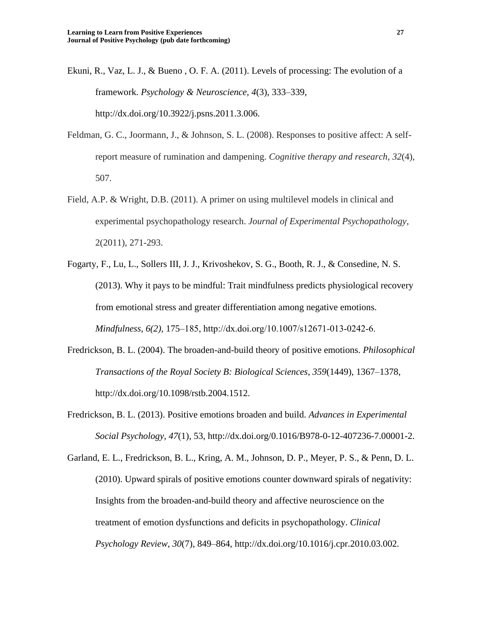Ekuni, R., Vaz, L. J., & Bueno , O. F. A. (2011). Levels of processing: The evolution of a framework. *Psychology & Neuroscience, 4*(3), 333–339, http://dx.doi.org/10.3922/j.psns.2011.3.006.

- Feldman, G. C., Joormann, J., & Johnson, S. L. (2008). Responses to positive affect: A selfreport measure of rumination and dampening. *Cognitive therapy and research*, *32*(4), 507.
- Field, A.P. & Wright, D.B. (2011). A primer on using multilevel models in clinical and experimental psychopathology research. *Journal of Experimental Psychopathology*, 2(2011), 271-293.
- Fogarty, F., Lu, L., Sollers III, J. J., Krivoshekov, S. G., Booth, R. J., & Consedine, N. S. (2013). Why it pays to be mindful: Trait mindfulness predicts physiological recovery from emotional stress and greater differentiation among negative emotions. *Mindfulness, 6(2),* 175–185, http://dx.doi.org/10.1007/s12671‐013‐0242‐6.
- Fredrickson, B. L. (2004). The broaden-and-build theory of positive emotions. *Philosophical Transactions of the Royal Society B: Biological Sciences, 359*(1449), 1367–1378, http://dx.doi.org/10.1098/rstb.2004.1512.
- Fredrickson, B. L. (2013). Positive emotions broaden and build. *Advances in Experimental Social Psychology, 47*(1), 53, http://dx.doi.org/0.1016/B978-0-12-407236-7.00001-2.
- Garland, E. L., Fredrickson, B. L., Kring, A. M., Johnson, D. P., Meyer, P. S., & Penn, D. L. (2010). Upward spirals of positive emotions counter downward spirals of negativity: Insights from the broaden-and-build theory and affective neuroscience on the treatment of emotion dysfunctions and deficits in psychopathology. *Clinical Psychology Review, 30*(7), 849–864, http://dx.doi.org/10.1016/j.cpr.2010.03.002.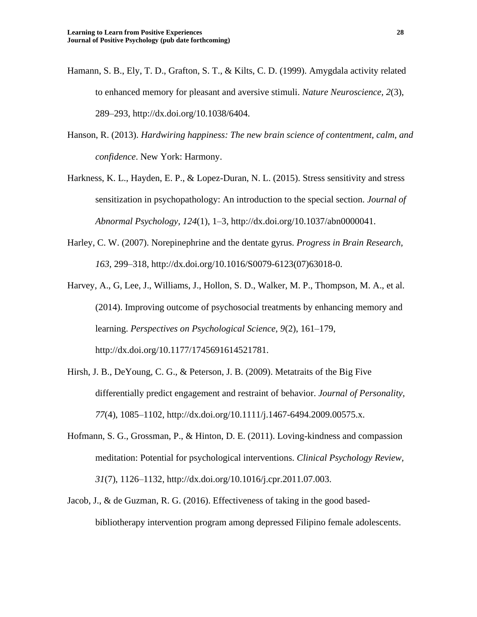- Hamann, S. B., Ely, T. D., Grafton, S. T., & Kilts, C. D. (1999). Amygdala activity related to enhanced memory for pleasant and aversive stimuli. *Nature Neuroscience, 2*(3), 289–293, http://dx.doi.org/10.1038/6404.
- Hanson, R. (2013). *Hardwiring happiness: The new brain science of contentment, calm, and confidence*. New York: Harmony.
- Harkness, K. L., Hayden, E. P., & Lopez-Duran, N. L. (2015). Stress sensitivity and stress sensitization in psychopathology: An introduction to the special section. *Journal of Abnormal Psychology, 124*(1), 1–3, http://dx.doi.org/10.1037/abn0000041.
- Harley, C. W. (2007). Norepinephrine and the dentate gyrus. *Progress in Brain Research, 163*, 299–318, http://dx.doi.org/10.1016/S0079-6123(07)63018-0.
- Harvey, A., G, Lee, J., Williams, J., Hollon, S. D., Walker, M. P., Thompson, M. A., et al. (2014). Improving outcome of psychosocial treatments by enhancing memory and learning. *Perspectives on Psychological Science, 9*(2), 161–179, http://dx.doi.org/10.1177/1745691614521781.
- Hirsh, J. B., DeYoung, C. G., & Peterson, J. B. (2009). Metatraits of the Big Five differentially predict engagement and restraint of behavior. *Journal of Personality, 77*(4), 1085–1102, http://dx.doi.org/10.1111/j.1467-6494.2009.00575.x.
- Hofmann, S. G., Grossman, P., & Hinton, D. E. (2011). Loving-kindness and compassion meditation: Potential for psychological interventions. *Clinical Psychology Review, 31*(7), 1126–1132, http://dx.doi.org/10.1016/j.cpr.2011.07.003.
- Jacob, J., & de Guzman, R. G. (2016). Effectiveness of taking in the good basedbibliotherapy intervention program among depressed Filipino female adolescents.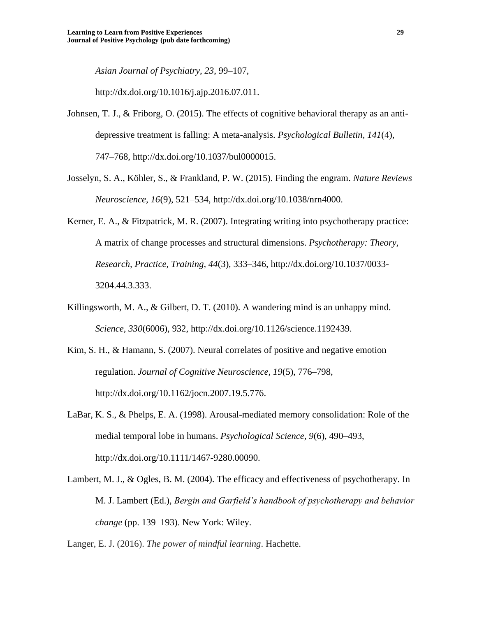*Asian Journal of Psychiatry, 23*, 99–107,

http://dx.doi.org/10.1016/j.ajp.2016.07.011.

- Johnsen, T. J., & Friborg, O. (2015). The effects of cognitive behavioral therapy as an antidepressive treatment is falling: A meta-analysis. *Psychological Bulletin, 141*(4), 747–768, http://dx.doi.org/10.1037/bul0000015.
- Josselyn, S. A., Köhler, S., & Frankland, P. W. (2015). Finding the engram. *Nature Reviews Neuroscience, 16*(9), 521–534, http://dx.doi.org/10.1038/nrn4000.
- Kerner, E. A., & Fitzpatrick, M. R. (2007). Integrating writing into psychotherapy practice: A matrix of change processes and structural dimensions. *Psychotherapy: Theory, Research, Practice, Training, 44*(3), 333–346, http://dx.doi.org/10.1037/0033- 3204.44.3.333.
- Killingsworth, M. A., & Gilbert, D. T. (2010). A wandering mind is an unhappy mind. *Science, 330*(6006), 932, http://dx.doi.org/10.1126/science.1192439.
- Kim, S. H., & Hamann, S. (2007). Neural correlates of positive and negative emotion regulation. *Journal of Cognitive Neuroscience, 19*(5), 776–798, http://dx.doi.org/10.1162/jocn.2007.19.5.776.
- LaBar, K. S., & Phelps, E. A. (1998). Arousal-mediated memory consolidation: Role of the medial temporal lobe in humans. *Psychological Science, 9*(6), 490–493, http://dx.doi.org/10.1111/1467-9280.00090.
- Lambert, M. J., & Ogles, B. M. (2004). The efficacy and effectiveness of psychotherapy. In M. J. Lambert (Ed.), *Bergin and Garfield's handbook of psychotherapy and behavior change* (pp. 139–193). New York: Wiley.

Langer, E. J. (2016). *The power of mindful learning*. Hachette.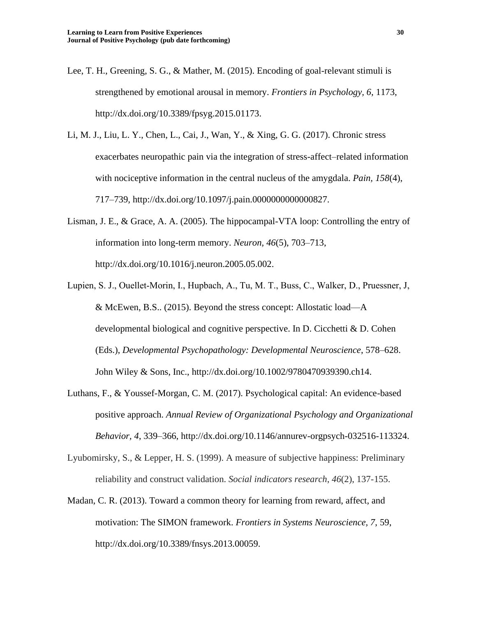- Lee, T. H., Greening, S. G., & Mather, M. (2015). Encoding of goal-relevant stimuli is strengthened by emotional arousal in memory. *Frontiers in Psychology, 6*, 1173, http://dx.doi.org/10.3389/fpsyg.2015.01173.
- Li, M. J., Liu, L. Y., Chen, L., Cai, J., Wan, Y., & Xing, G. G. (2017). Chronic stress exacerbates neuropathic pain via the integration of stress-affect–related information with nociceptive information in the central nucleus of the amygdala. *Pain, 158*(4), 717–739, http://dx.doi.org/10.1097/j.pain.0000000000000827.
- Lisman, J. E., & Grace, A. A. (2005). The hippocampal-VTA loop: Controlling the entry of information into long-term memory. *Neuron, 46*(5), 703–713, http://dx.doi.org/10.1016/j.neuron.2005.05.002.
- Lupien, S. J., Ouellet‐Morin, I., Hupbach, A., Tu, M. T., Buss, C., Walker, D., Pruessner, J, & McEwen, B.S.. (2015). Beyond the stress concept: Allostatic load—A developmental biological and cognitive perspective. In D. Cicchetti & D. Cohen (Eds.), *Developmental Psychopathology: Developmental Neuroscience*, 578–628. John Wiley & Sons, Inc., http://dx.doi.org/10.1002/9780470939390.ch14.
- Luthans, F., & Youssef-Morgan, C. M. (2017). Psychological capital: An evidence-based positive approach. *Annual Review of Organizational Psychology and Organizational Behavior, 4*, 339–366, http://dx.doi.org/10.1146/annurev-orgpsych-032516-113324.
- Lyubomirsky, S., & Lepper, H. S. (1999). A measure of subjective happiness: Preliminary reliability and construct validation. *Social indicators research*, *46*(2), 137-155.
- Madan, C. R. (2013). Toward a common theory for learning from reward, affect, and motivation: The SIMON framework. *Frontiers in Systems Neuroscience, 7*, 59, http://dx.doi.org/10.3389/fnsys.2013.00059.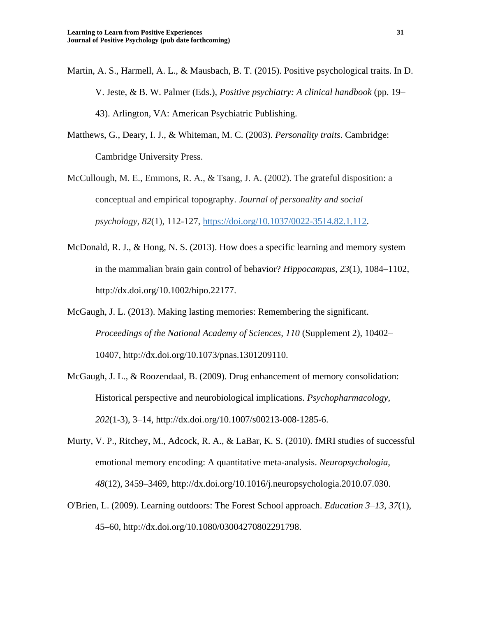- Martin, A. S., Harmell, A. L., & Mausbach, B. T. (2015). Positive psychological traits. In D. V. Jeste, & B. W. Palmer (Eds.), *Positive psychiatry: A clinical handbook* (pp. 19– 43). Arlington, VA: American Psychiatric Publishing.
- Matthews, G., Deary, I. J., & Whiteman, M. C. (2003). *Personality traits*. Cambridge: Cambridge University Press.
- McCullough, M. E., Emmons, R. A., & Tsang, J. A. (2002). The grateful disposition: a conceptual and empirical topography. *Journal of personality and social psychology*, *82*(1), 112-127, [https://doi.org/10.1037/0022-3514.82.1.112.](https://psycnet.apa.org/doi/10.1037/0022-3514.82.1.112)
- McDonald, R. J., & Hong, N. S. (2013). How does a specific learning and memory system in the mammalian brain gain control of behavior? *Hippocampus, 23*(1), 1084–1102, http://dx.doi.org/10.1002/hipo.22177.
- McGaugh, J. L. (2013). Making lasting memories: Remembering the significant. *Proceedings of the National Academy of Sciences, 110* (Supplement 2), 10402– 10407, http://dx.doi.org/10.1073/pnas.1301209110.
- McGaugh, J. L., & Roozendaal, B. (2009). Drug enhancement of memory consolidation: Historical perspective and neurobiological implications. *Psychopharmacology, 202*(1-3), 3–14, http://dx.doi.org/10.1007/s00213-008-1285-6.
- Murty, V. P., Ritchey, M., Adcock, R. A., & LaBar, K. S. (2010). fMRI studies of successful emotional memory encoding: A quantitative meta-analysis. *Neuropsychologia, 48*(12), 3459–3469, http://dx.doi.org/10.1016/j.neuropsychologia.2010.07.030.
- O'Brien, L. (2009). Learning outdoors: The Forest School approach. *Education 3–13, 37*(1), 45–60, http://dx.doi.org/10.1080/03004270802291798.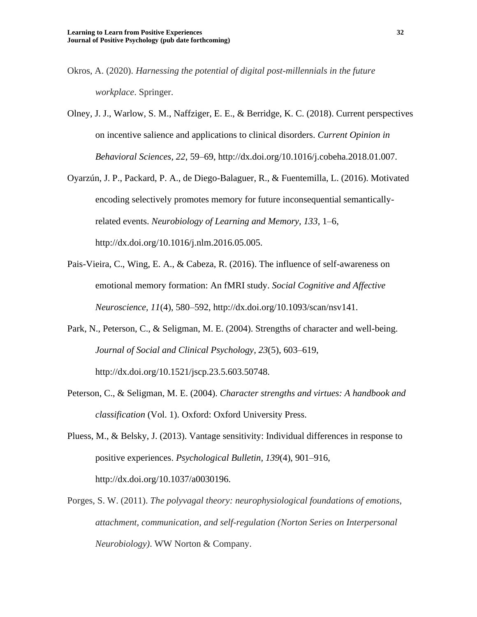- Okros, A. (2020). *Harnessing the potential of digital post-millennials in the future workplace*. Springer.
- Olney, J. J., Warlow, S. M., Naffziger, E. E., & Berridge, K. C. (2018). Current perspectives on incentive salience and applications to clinical disorders. *Current Opinion in Behavioral Sciences, 22*, 59–69, http://dx.doi.org/10.1016/j.cobeha.2018.01.007.
- Oyarzún, J. P., Packard, P. A., de Diego-Balaguer, R., & Fuentemilla, L. (2016). Motivated encoding selectively promotes memory for future inconsequential semanticallyrelated events. *Neurobiology of Learning and Memory, 133*, 1–6, http://dx.doi.org/10.1016/j.nlm.2016.05.005.
- Pais-Vieira, C., Wing, E. A., & Cabeza, R. (2016). The influence of self-awareness on emotional memory formation: An fMRI study. *Social Cognitive and Affective Neuroscience, 11*(4), 580–592, http://dx.doi.org/10.1093/scan/nsv141.
- Park, N., Peterson, C., & Seligman, M. E. (2004). Strengths of character and well-being. *Journal of Social and Clinical Psychology, 23*(5), 603–619, http://dx.doi.org/10.1521/jscp.23.5.603.50748.
- Peterson, C., & Seligman, M. E. (2004). *Character strengths and virtues: A handbook and classification* (Vol. 1). Oxford: Oxford University Press.
- Pluess, M., & Belsky, J. (2013). Vantage sensitivity: Individual differences in response to positive experiences. *Psychological Bulletin, 139*(4), 901–916, http://dx.doi.org/10.1037/a0030196.
- Porges, S. W. (2011). *The polyvagal theory: neurophysiological foundations of emotions, attachment, communication, and self-regulation (Norton Series on Interpersonal Neurobiology)*. WW Norton & Company.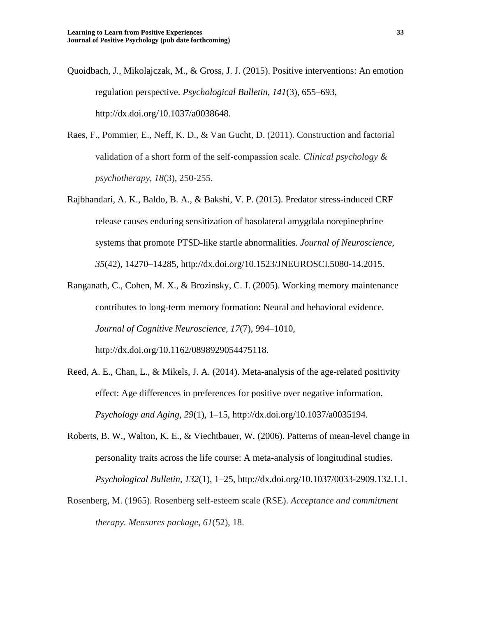- Quoidbach, J., Mikolajczak, M., & Gross, J. J. (2015). Positive interventions: An emotion regulation perspective. *Psychological Bulletin, 141*(3), 655–693, http://dx.doi.org/10.1037/a0038648.
- Raes, F., Pommier, E., Neff, K. D., & Van Gucht, D. (2011). Construction and factorial validation of a short form of the self‐compassion scale. *Clinical psychology & psychotherapy*, *18*(3), 250-255.
- Rajbhandari, A. K., Baldo, B. A., & Bakshi, V. P. (2015). Predator stress-induced CRF release causes enduring sensitization of basolateral amygdala norepinephrine systems that promote PTSD-like startle abnormalities. *Journal of Neuroscience, 35*(42), 14270–14285, http://dx.doi.org/10.1523/JNEUROSCI.5080-14.2015.
- Ranganath, C., Cohen, M. X., & Brozinsky, C. J. (2005). Working memory maintenance contributes to long-term memory formation: Neural and behavioral evidence. *Journal of Cognitive Neuroscience, 17*(7), 994–1010,

http://dx.doi.org/10.1162/0898929054475118.

- Reed, A. E., Chan, L., & Mikels, J. A. (2014). Meta-analysis of the age-related positivity effect: Age differences in preferences for positive over negative information. *Psychology and Aging, 29*(1), 1–15, http://dx.doi.org/10.1037/a0035194.
- Roberts, B. W., Walton, K. E., & Viechtbauer, W. (2006). Patterns of mean-level change in personality traits across the life course: A meta-analysis of longitudinal studies. *Psychological Bulletin, 132*(1), 1–25, http://dx.doi.org/10.1037/0033-2909.132.1.1.
- Rosenberg, M. (1965). Rosenberg self-esteem scale (RSE). *Acceptance and commitment therapy. Measures package*, *61*(52), 18.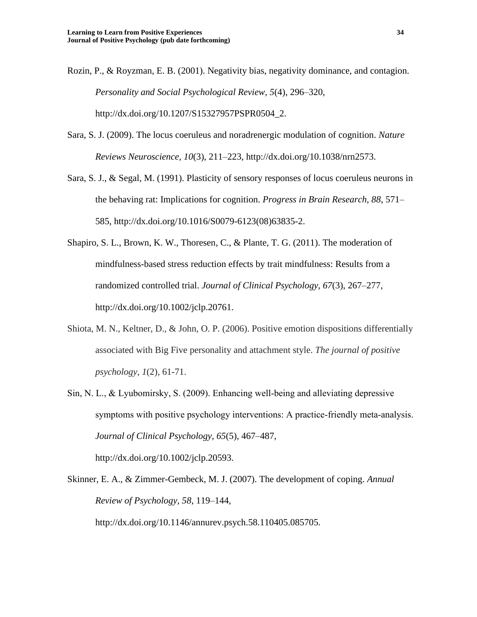Rozin, P., & Royzman, E. B. (2001). Negativity bias, negativity dominance, and contagion. *Personality and Social Psychological Review, 5*(4), 296–320, http://dx.doi.org/10.1207/S15327957PSPR0504\_2.

- Sara, S. J. (2009). The locus coeruleus and noradrenergic modulation of cognition. *Nature Reviews Neuroscience, 10*(3), 211–223, http://dx.doi.org/10.1038/nrn2573.
- Sara, S. J., & Segal, M. (1991). Plasticity of sensory responses of locus coeruleus neurons in the behaving rat: Implications for cognition. *Progress in Brain Research, 88*, 571– 585, http://dx.doi.org/10.1016/S0079-6123(08)63835-2.
- Shapiro, S. L., Brown, K. W., Thoresen, C., & Plante, T. G. (2011). The moderation of mindfulness-based stress reduction effects by trait mindfulness: Results from a randomized controlled trial. *Journal of Clinical Psychology, 67*(3), 267–277, http://dx.doi.org/10.1002/jclp.20761.
- Shiota, M. N., Keltner, D., & John, O. P. (2006). Positive emotion dispositions differentially associated with Big Five personality and attachment style. *The journal of positive psychology*, *1*(2), 61-71.
- Sin, N. L., & Lyubomirsky, S. (2009). Enhancing well‐being and alleviating depressive symptoms with positive psychology interventions: A practice-friendly meta-analysis. *Journal of Clinical Psychology, 65*(5), 467–487, http://dx.doi.org/10.1002/jclp.20593.
- Skinner, E. A., & Zimmer-Gembeck, M. J. (2007). The development of coping. *Annual Review of Psychology, 58*, 119–144, http://dx.doi.org/10.1146/annurev.psych.58.110405.085705.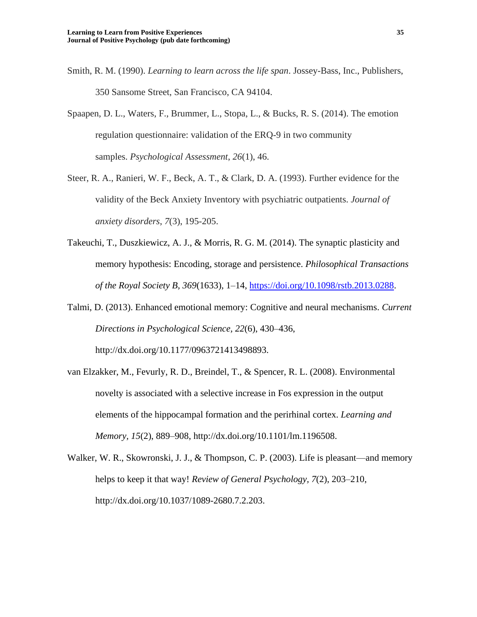- Smith, R. M. (1990). *Learning to learn across the life span*. Jossey-Bass, Inc., Publishers, 350 Sansome Street, San Francisco, CA 94104.
- Spaapen, D. L., Waters, F., Brummer, L., Stopa, L., & Bucks, R. S. (2014). The emotion regulation questionnaire: validation of the ERQ-9 in two community samples. *Psychological Assessment*, *26*(1), 46.
- Steer, R. A., Ranieri, W. F., Beck, A. T., & Clark, D. A. (1993). Further evidence for the validity of the Beck Anxiety Inventory with psychiatric outpatients. *Journal of anxiety disorders*, *7*(3), 195-205.
- Takeuchi, T., Duszkiewicz, A. J., & Morris, R. G. M. (2014). The synaptic plasticity and memory hypothesis: Encoding, storage and persistence. *Philosophical Transactions of the Royal Society B, 369*(1633), 1–14, [https://doi.org/10.1098/rstb.2013.0288.](https://doi.org/10.1098/rstb.2013.0288)
- Talmi, D. (2013). Enhanced emotional memory: Cognitive and neural mechanisms. *Current Directions in Psychological Science, 22*(6), 430–436, http://dx.doi.org/10.1177/0963721413498893.
- van Elzakker, M., Fevurly, R. D., Breindel, T., & Spencer, R. L. (2008). Environmental novelty is associated with a selective increase in Fos expression in the output elements of the hippocampal formation and the perirhinal cortex. *Learning and Memory, 15*(2), 889–908, http://dx.doi.org/10.1101/lm.1196508.
- Walker, W. R., Skowronski, J. J., & Thompson, C. P. (2003). Life is pleasant—and memory helps to keep it that way! *Review of General Psychology, 7*(2), 203–210, http://dx.doi.org/10.1037/1089-2680.7.2.203.